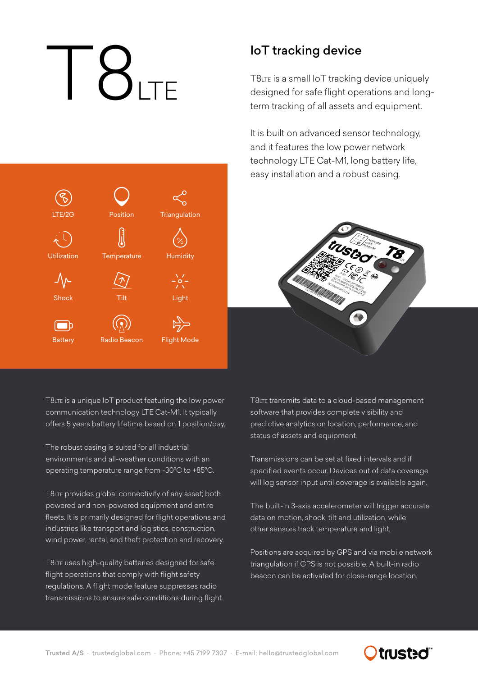# $\sum_{\tau}$

Position

**Triangulation** 

**Humidity** 

Light

Flight Mode

**Temperature** 

Tilt

/ プ

Radio Beacon

LTE/2G

Utilization

Shock

᠕ᇨ

**Battery** 

 $\Box$ 

### IoT tracking device

T8LTE is a small IoT tracking device uniquely designed for safe flight operations and longterm tracking of all assets and equipment.

It is built on advanced sensor technology, and it features the low power network technology LTE Cat-M1, long battery life, easy installation and a robust casing.



T8LTE is a unique IoT product featuring the low power communication technology LTE Cat-M1. It typically offers 5 years battery lifetime based on 1 position/day.

The robust casing is suited for all industrial environments and all-weather conditions with an operating temperature range from -30°C to +85°C.

T8LTE provides global connectivity of any asset; both powered and non-powered equipment and entire fleets. It is primarily designed for flight operations and industries like transport and logistics, construction, wind power, rental, and theft protection and recovery.

T8LTE uses high-quality batteries designed for safe flight operations that comply with flight safety regulations. A flight mode feature suppresses radio transmissions to ensure safe conditions during flight. T8LTE transmits data to a cloud-based management software that provides complete visibility and predictive analytics on location, performance, and status of assets and equipment.

Transmissions can be set at fixed intervals and if specified events occur. Devices out of data coverage will log sensor input until coverage is available again.

The built-in 3-axis accelerometer will trigger accurate data on motion, shock, tilt and utilization, while other sensors track temperature and light.

Positions are acquired by GPS and via mobile network triangulation if GPS is not possible. A built-in radio beacon can be activated for close-range location.